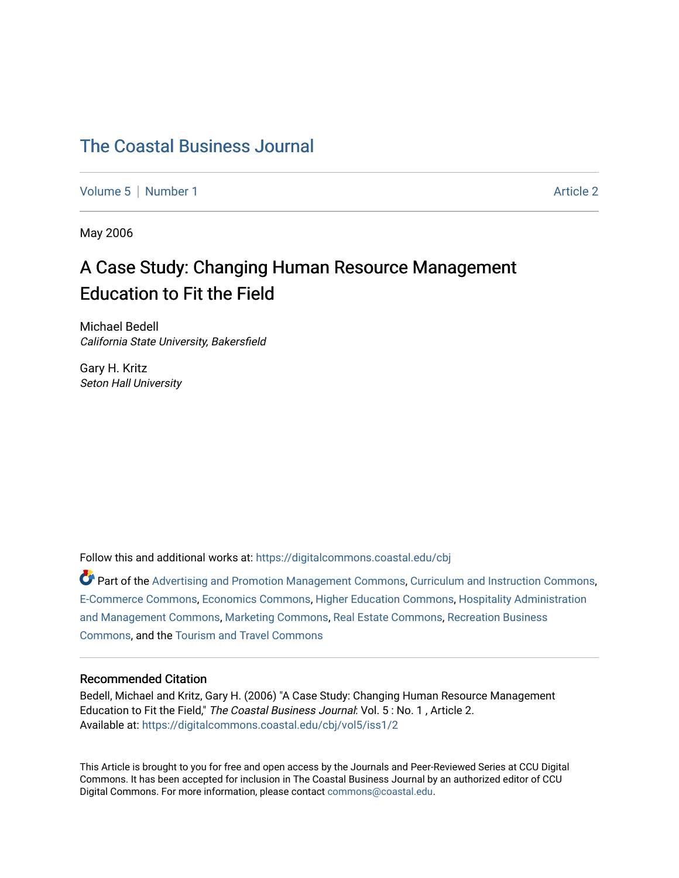# [The Coastal Business Journal](https://digitalcommons.coastal.edu/cbj)

[Volume 5](https://digitalcommons.coastal.edu/cbj/vol5) | [Number 1](https://digitalcommons.coastal.edu/cbj/vol5/iss1) Article 2

May 2006

# A Case Study: Changing Human Resource Management Education to Fit the Field

Michael Bedell California State University, Bakersfield

Gary H. Kritz Seton Hall University

Follow this and additional works at: [https://digitalcommons.coastal.edu/cbj](https://digitalcommons.coastal.edu/cbj?utm_source=digitalcommons.coastal.edu%2Fcbj%2Fvol5%2Fiss1%2F2&utm_medium=PDF&utm_campaign=PDFCoverPages) 

Part of the [Advertising and Promotion Management Commons,](http://network.bepress.com/hgg/discipline/626?utm_source=digitalcommons.coastal.edu%2Fcbj%2Fvol5%2Fiss1%2F2&utm_medium=PDF&utm_campaign=PDFCoverPages) [Curriculum and Instruction Commons,](http://network.bepress.com/hgg/discipline/786?utm_source=digitalcommons.coastal.edu%2Fcbj%2Fvol5%2Fiss1%2F2&utm_medium=PDF&utm_campaign=PDFCoverPages) [E-Commerce Commons,](http://network.bepress.com/hgg/discipline/624?utm_source=digitalcommons.coastal.edu%2Fcbj%2Fvol5%2Fiss1%2F2&utm_medium=PDF&utm_campaign=PDFCoverPages) [Economics Commons](http://network.bepress.com/hgg/discipline/340?utm_source=digitalcommons.coastal.edu%2Fcbj%2Fvol5%2Fiss1%2F2&utm_medium=PDF&utm_campaign=PDFCoverPages), [Higher Education Commons](http://network.bepress.com/hgg/discipline/1245?utm_source=digitalcommons.coastal.edu%2Fcbj%2Fvol5%2Fiss1%2F2&utm_medium=PDF&utm_campaign=PDFCoverPages), [Hospitality Administration](http://network.bepress.com/hgg/discipline/632?utm_source=digitalcommons.coastal.edu%2Fcbj%2Fvol5%2Fiss1%2F2&utm_medium=PDF&utm_campaign=PDFCoverPages) [and Management Commons,](http://network.bepress.com/hgg/discipline/632?utm_source=digitalcommons.coastal.edu%2Fcbj%2Fvol5%2Fiss1%2F2&utm_medium=PDF&utm_campaign=PDFCoverPages) [Marketing Commons](http://network.bepress.com/hgg/discipline/638?utm_source=digitalcommons.coastal.edu%2Fcbj%2Fvol5%2Fiss1%2F2&utm_medium=PDF&utm_campaign=PDFCoverPages), [Real Estate Commons](http://network.bepress.com/hgg/discipline/641?utm_source=digitalcommons.coastal.edu%2Fcbj%2Fvol5%2Fiss1%2F2&utm_medium=PDF&utm_campaign=PDFCoverPages), [Recreation Business](http://network.bepress.com/hgg/discipline/1083?utm_source=digitalcommons.coastal.edu%2Fcbj%2Fvol5%2Fiss1%2F2&utm_medium=PDF&utm_campaign=PDFCoverPages) [Commons](http://network.bepress.com/hgg/discipline/1083?utm_source=digitalcommons.coastal.edu%2Fcbj%2Fvol5%2Fiss1%2F2&utm_medium=PDF&utm_campaign=PDFCoverPages), and the [Tourism and Travel Commons](http://network.bepress.com/hgg/discipline/1082?utm_source=digitalcommons.coastal.edu%2Fcbj%2Fvol5%2Fiss1%2F2&utm_medium=PDF&utm_campaign=PDFCoverPages)

# Recommended Citation

Bedell, Michael and Kritz, Gary H. (2006) "A Case Study: Changing Human Resource Management Education to Fit the Field," The Coastal Business Journal: Vol. 5 : No. 1 , Article 2. Available at: [https://digitalcommons.coastal.edu/cbj/vol5/iss1/2](https://digitalcommons.coastal.edu/cbj/vol5/iss1/2?utm_source=digitalcommons.coastal.edu%2Fcbj%2Fvol5%2Fiss1%2F2&utm_medium=PDF&utm_campaign=PDFCoverPages)

This Article is brought to you for free and open access by the Journals and Peer-Reviewed Series at CCU Digital Commons. It has been accepted for inclusion in The Coastal Business Journal by an authorized editor of CCU Digital Commons. For more information, please contact [commons@coastal.edu](mailto:commons@coastal.edu).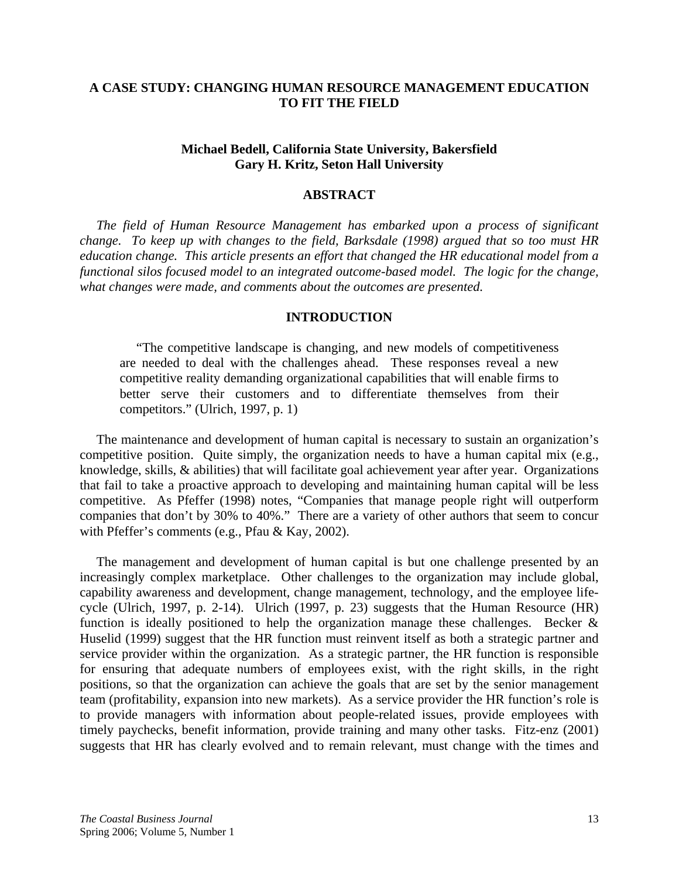# **A CASE STUDY: CHANGING HUMAN RESOURCE MANAGEMENT EDUCATION TO FIT THE FIELD**

# **Michael Bedell, California State University, Bakersfield Gary H. Kritz, Seton Hall University**

## **ABSTRACT**

 *The field of Human Resource Management has embarked upon a process of significant change. To keep up with changes to the field, Barksdale (1998) argued that so too must HR education change. This article presents an effort that changed the HR educational model from a functional silos focused model to an integrated outcome-based model. The logic for the change, what changes were made, and comments about the outcomes are presented.* 

# **INTRODUCTION**

 "The competitive landscape is changing, and new models of competitiveness are needed to deal with the challenges ahead. These responses reveal a new competitive reality demanding organizational capabilities that will enable firms to better serve their customers and to differentiate themselves from their competitors." (Ulrich, 1997, p. 1)

 The maintenance and development of human capital is necessary to sustain an organization's competitive position. Quite simply, the organization needs to have a human capital mix (e.g., knowledge, skills, & abilities) that will facilitate goal achievement year after year. Organizations that fail to take a proactive approach to developing and maintaining human capital will be less competitive. As Pfeffer (1998) notes, "Companies that manage people right will outperform companies that don't by 30% to 40%." There are a variety of other authors that seem to concur with Pfeffer's comments (e.g., Pfau & Kay, 2002).

 The management and development of human capital is but one challenge presented by an increasingly complex marketplace. Other challenges to the organization may include global, capability awareness and development, change management, technology, and the employee lifecycle (Ulrich, 1997, p. 2-14). Ulrich (1997, p. 23) suggests that the Human Resource (HR) function is ideally positioned to help the organization manage these challenges. Becker  $\&$ Huselid (1999) suggest that the HR function must reinvent itself as both a strategic partner and service provider within the organization. As a strategic partner, the HR function is responsible for ensuring that adequate numbers of employees exist, with the right skills, in the right positions, so that the organization can achieve the goals that are set by the senior management team (profitability, expansion into new markets). As a service provider the HR function's role is to provide managers with information about people-related issues, provide employees with timely paychecks, benefit information, provide training and many other tasks. Fitz-enz (2001) suggests that HR has clearly evolved and to remain relevant, must change with the times and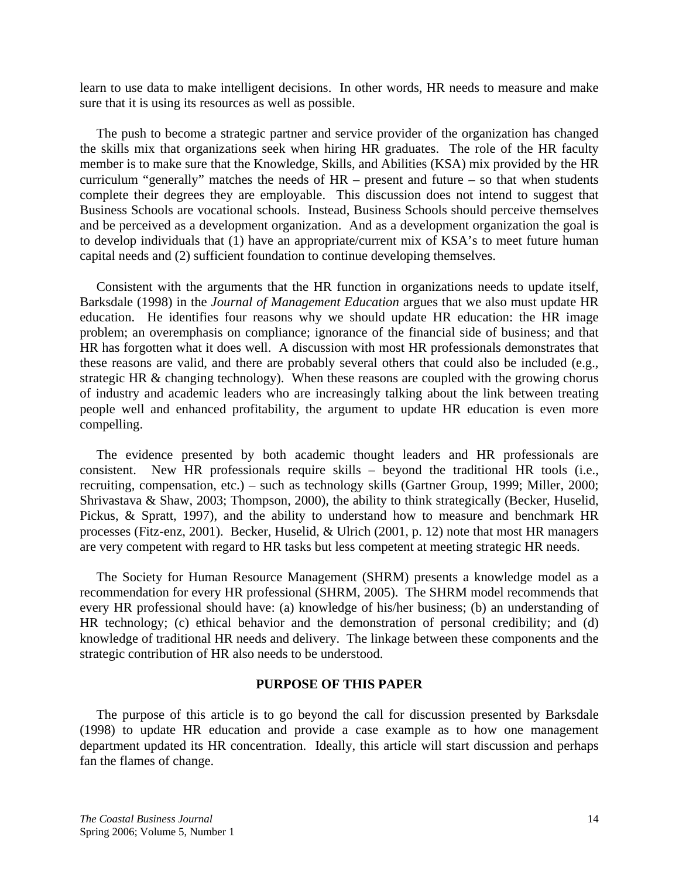learn to use data to make intelligent decisions. In other words, HR needs to measure and make sure that it is using its resources as well as possible.

 The push to become a strategic partner and service provider of the organization has changed the skills mix that organizations seek when hiring HR graduates. The role of the HR faculty member is to make sure that the Knowledge, Skills, and Abilities (KSA) mix provided by the HR curriculum "generally" matches the needs of HR – present and future – so that when students complete their degrees they are employable. This discussion does not intend to suggest that Business Schools are vocational schools. Instead, Business Schools should perceive themselves and be perceived as a development organization. And as a development organization the goal is to develop individuals that (1) have an appropriate/current mix of KSA's to meet future human capital needs and (2) sufficient foundation to continue developing themselves.

 Consistent with the arguments that the HR function in organizations needs to update itself, Barksdale (1998) in the *Journal of Management Education* argues that we also must update HR education. He identifies four reasons why we should update HR education: the HR image problem; an overemphasis on compliance; ignorance of the financial side of business; and that HR has forgotten what it does well. A discussion with most HR professionals demonstrates that these reasons are valid, and there are probably several others that could also be included (e.g., strategic HR & changing technology). When these reasons are coupled with the growing chorus of industry and academic leaders who are increasingly talking about the link between treating people well and enhanced profitability, the argument to update HR education is even more compelling.

 The evidence presented by both academic thought leaders and HR professionals are consistent. New HR professionals require skills – beyond the traditional HR tools (i.e., recruiting, compensation, etc.) – such as technology skills (Gartner Group, 1999; Miller, 2000; Shrivastava & Shaw, 2003; Thompson, 2000), the ability to think strategically (Becker, Huselid, Pickus, & Spratt, 1997), and the ability to understand how to measure and benchmark HR processes (Fitz-enz, 2001). Becker, Huselid, & Ulrich (2001, p. 12) note that most HR managers are very competent with regard to HR tasks but less competent at meeting strategic HR needs.

 The Society for Human Resource Management (SHRM) presents a knowledge model as a recommendation for every HR professional (SHRM, 2005). The SHRM model recommends that every HR professional should have: (a) knowledge of his/her business; (b) an understanding of HR technology; (c) ethical behavior and the demonstration of personal credibility; and (d) knowledge of traditional HR needs and delivery. The linkage between these components and the strategic contribution of HR also needs to be understood.

# **PURPOSE OF THIS PAPER**

 The purpose of this article is to go beyond the call for discussion presented by Barksdale (1998) to update HR education and provide a case example as to how one management department updated its HR concentration. Ideally, this article will start discussion and perhaps fan the flames of change.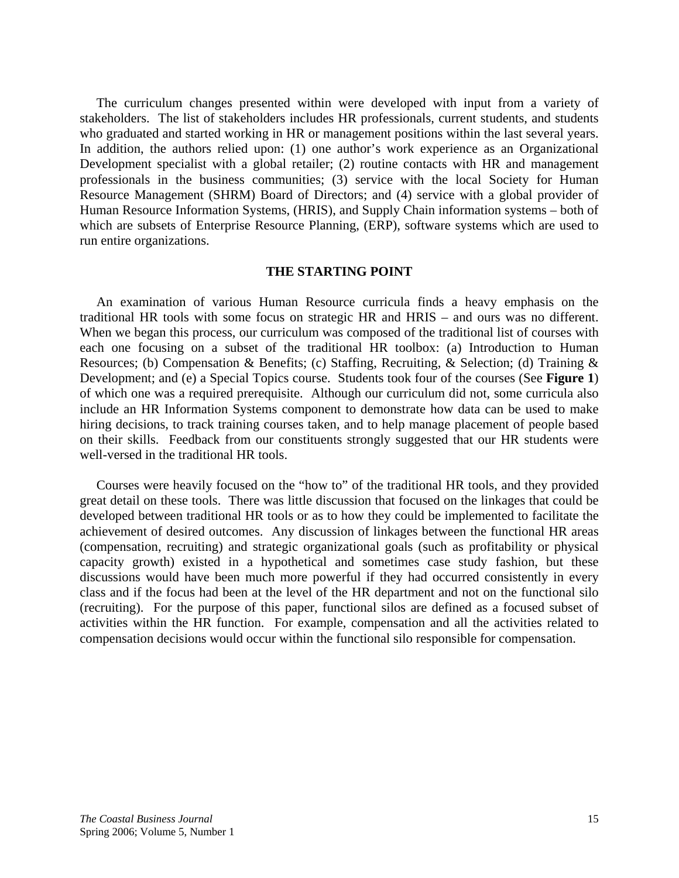The curriculum changes presented within were developed with input from a variety of stakeholders. The list of stakeholders includes HR professionals, current students, and students who graduated and started working in HR or management positions within the last several years. In addition, the authors relied upon: (1) one author's work experience as an Organizational Development specialist with a global retailer; (2) routine contacts with HR and management professionals in the business communities; (3) service with the local Society for Human Resource Management (SHRM) Board of Directors; and (4) service with a global provider of Human Resource Information Systems, (HRIS), and Supply Chain information systems – both of which are subsets of Enterprise Resource Planning, (ERP), software systems which are used to run entire organizations.

# **THE STARTING POINT**

 An examination of various Human Resource curricula finds a heavy emphasis on the traditional HR tools with some focus on strategic HR and HRIS – and ours was no different. When we began this process, our curriculum was composed of the traditional list of courses with each one focusing on a subset of the traditional HR toolbox: (a) Introduction to Human Resources; (b) Compensation & Benefits; (c) Staffing, Recruiting, & Selection; (d) Training & Development; and (e) a Special Topics course. Students took four of the courses (See **Figure 1**) of which one was a required prerequisite. Although our curriculum did not, some curricula also include an HR Information Systems component to demonstrate how data can be used to make hiring decisions, to track training courses taken, and to help manage placement of people based on their skills. Feedback from our constituents strongly suggested that our HR students were well-versed in the traditional HR tools.

 Courses were heavily focused on the "how to" of the traditional HR tools, and they provided great detail on these tools. There was little discussion that focused on the linkages that could be developed between traditional HR tools or as to how they could be implemented to facilitate the achievement of desired outcomes. Any discussion of linkages between the functional HR areas (compensation, recruiting) and strategic organizational goals (such as profitability or physical capacity growth) existed in a hypothetical and sometimes case study fashion, but these discussions would have been much more powerful if they had occurred consistently in every class and if the focus had been at the level of the HR department and not on the functional silo (recruiting). For the purpose of this paper, functional silos are defined as a focused subset of activities within the HR function. For example, compensation and all the activities related to compensation decisions would occur within the functional silo responsible for compensation.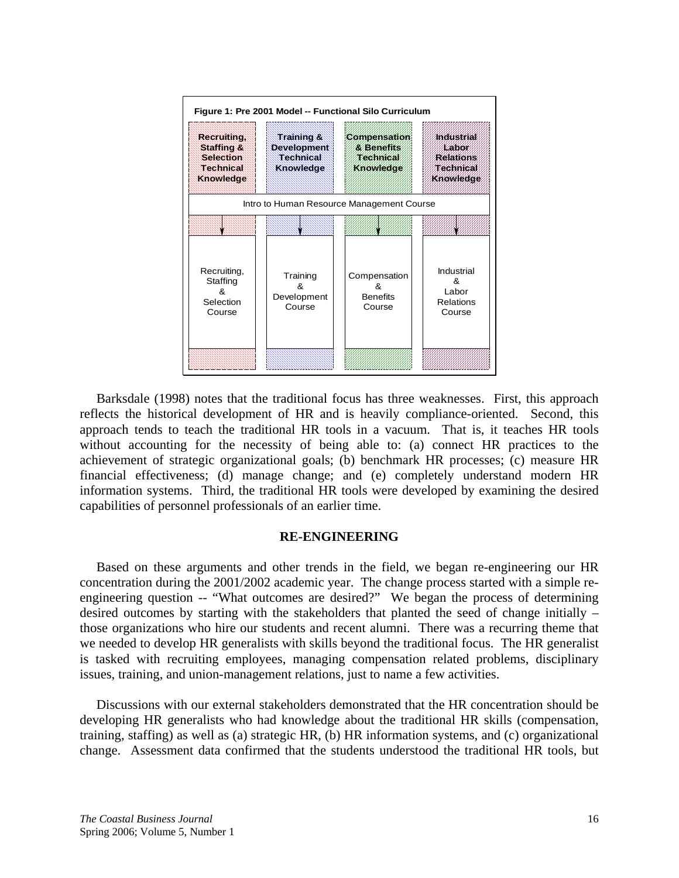

 Barksdale (1998) notes that the traditional focus has three weaknesses. First, this approach reflects the historical development of HR and is heavily compliance-oriented. Second, this approach tends to teach the traditional HR tools in a vacuum. That is, it teaches HR tools without accounting for the necessity of being able to: (a) connect HR practices to the achievement of strategic organizational goals; (b) benchmark HR processes; (c) measure HR financial effectiveness; (d) manage change; and (e) completely understand modern HR information systems. Third, the traditional HR tools were developed by examining the desired capabilities of personnel professionals of an earlier time.

#### **RE-ENGINEERING**

 Based on these arguments and other trends in the field, we began re-engineering our HR concentration during the 2001/2002 academic year. The change process started with a simple reengineering question -- "What outcomes are desired?" We began the process of determining desired outcomes by starting with the stakeholders that planted the seed of change initially – those organizations who hire our students and recent alumni. There was a recurring theme that we needed to develop HR generalists with skills beyond the traditional focus. The HR generalist is tasked with recruiting employees, managing compensation related problems, disciplinary issues, training, and union-management relations, just to name a few activities.

 Discussions with our external stakeholders demonstrated that the HR concentration should be developing HR generalists who had knowledge about the traditional HR skills (compensation, training, staffing) as well as (a) strategic HR, (b) HR information systems, and (c) organizational change. Assessment data confirmed that the students understood the traditional HR tools, but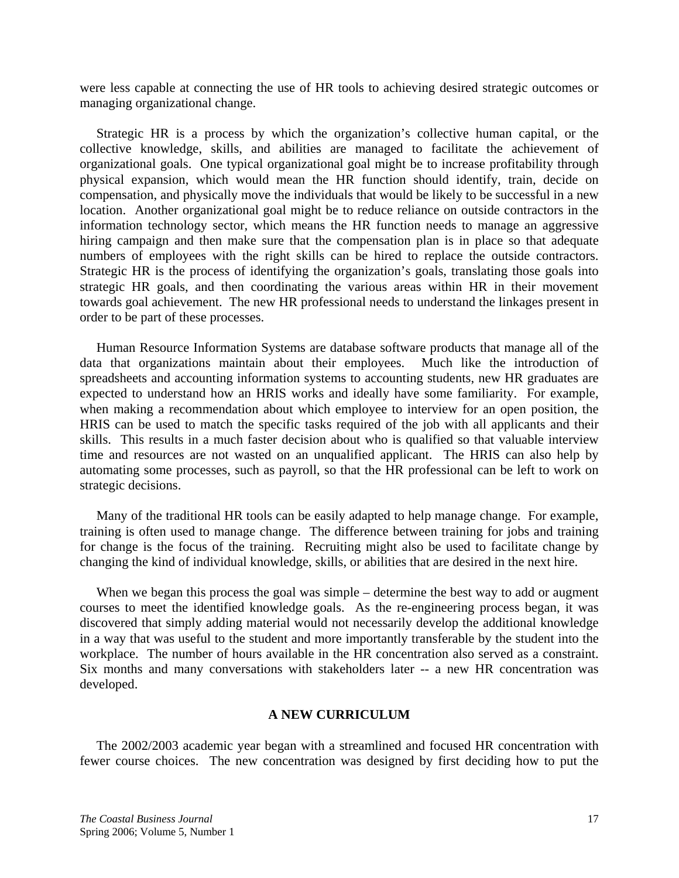were less capable at connecting the use of HR tools to achieving desired strategic outcomes or managing organizational change.

 Strategic HR is a process by which the organization's collective human capital, or the collective knowledge, skills, and abilities are managed to facilitate the achievement of organizational goals. One typical organizational goal might be to increase profitability through physical expansion, which would mean the HR function should identify, train, decide on compensation, and physically move the individuals that would be likely to be successful in a new location. Another organizational goal might be to reduce reliance on outside contractors in the information technology sector, which means the HR function needs to manage an aggressive hiring campaign and then make sure that the compensation plan is in place so that adequate numbers of employees with the right skills can be hired to replace the outside contractors. Strategic HR is the process of identifying the organization's goals, translating those goals into strategic HR goals, and then coordinating the various areas within HR in their movement towards goal achievement. The new HR professional needs to understand the linkages present in order to be part of these processes.

 Human Resource Information Systems are database software products that manage all of the data that organizations maintain about their employees. Much like the introduction of spreadsheets and accounting information systems to accounting students, new HR graduates are expected to understand how an HRIS works and ideally have some familiarity. For example, when making a recommendation about which employee to interview for an open position, the HRIS can be used to match the specific tasks required of the job with all applicants and their skills. This results in a much faster decision about who is qualified so that valuable interview time and resources are not wasted on an unqualified applicant. The HRIS can also help by automating some processes, such as payroll, so that the HR professional can be left to work on strategic decisions.

 Many of the traditional HR tools can be easily adapted to help manage change. For example, training is often used to manage change. The difference between training for jobs and training for change is the focus of the training. Recruiting might also be used to facilitate change by changing the kind of individual knowledge, skills, or abilities that are desired in the next hire.

When we began this process the goal was simple – determine the best way to add or augment courses to meet the identified knowledge goals. As the re-engineering process began, it was discovered that simply adding material would not necessarily develop the additional knowledge in a way that was useful to the student and more importantly transferable by the student into the workplace. The number of hours available in the HR concentration also served as a constraint. Six months and many conversations with stakeholders later -- a new HR concentration was developed.

# **A NEW CURRICULUM**

 The 2002/2003 academic year began with a streamlined and focused HR concentration with fewer course choices. The new concentration was designed by first deciding how to put the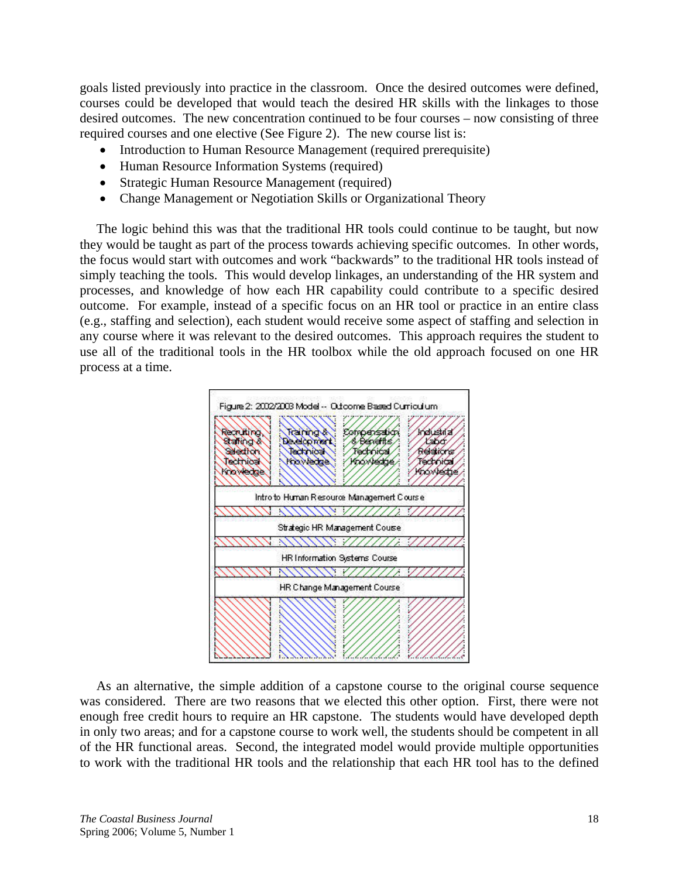goals listed previously into practice in the classroom. Once the desired outcomes were defined, courses could be developed that would teach the desired HR skills with the linkages to those desired outcomes. The new concentration continued to be four courses – now consisting of three required courses and one elective (See Figure 2). The new course list is:

- Introduction to Human Resource Management (required prerequisite)
- Human Resource Information Systems (required)
- Strategic Human Resource Management (required)
- Change Management or Negotiation Skills or Organizational Theory

 The logic behind this was that the traditional HR tools could continue to be taught, but now they would be taught as part of the process towards achieving specific outcomes. In other words, the focus would start with outcomes and work "backwards" to the traditional HR tools instead of simply teaching the tools. This would develop linkages, an understanding of the HR system and processes, and knowledge of how each HR capability could contribute to a specific desired outcome. For example, instead of a specific focus on an HR tool or practice in an entire class (e.g., staffing and selection), each student would receive some aspect of staffing and selection in any course where it was relevant to the desired outcomes. This approach requires the student to use all of the traditional tools in the HR toolbox while the old approach focused on one HR process at a time.



 As an alternative, the simple addition of a capstone course to the original course sequence was considered. There are two reasons that we elected this other option. First, there were not enough free credit hours to require an HR capstone. The students would have developed depth in only two areas; and for a capstone course to work well, the students should be competent in all of the HR functional areas. Second, the integrated model would provide multiple opportunities to work with the traditional HR tools and the relationship that each HR tool has to the defined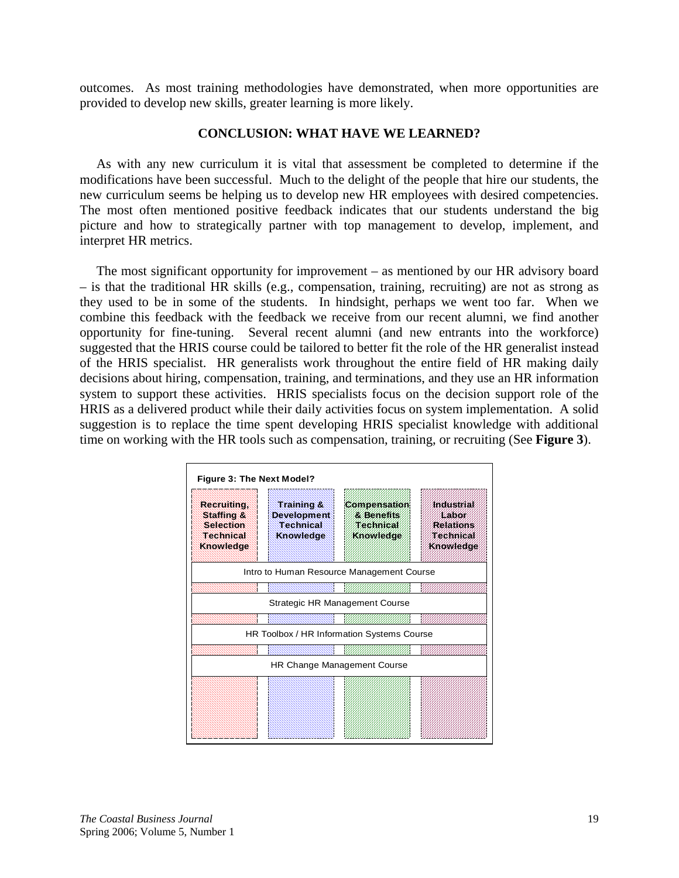outcomes. As most training methodologies have demonstrated, when more opportunities are provided to develop new skills, greater learning is more likely.

## **CONCLUSION: WHAT HAVE WE LEARNED?**

 As with any new curriculum it is vital that assessment be completed to determine if the modifications have been successful. Much to the delight of the people that hire our students, the new curriculum seems be helping us to develop new HR employees with desired competencies. The most often mentioned positive feedback indicates that our students understand the big picture and how to strategically partner with top management to develop, implement, and interpret HR metrics.

 The most significant opportunity for improvement – as mentioned by our HR advisory board – is that the traditional HR skills (e.g., compensation, training, recruiting) are not as strong as they used to be in some of the students. In hindsight, perhaps we went too far. When we combine this feedback with the feedback we receive from our recent alumni, we find another opportunity for fine-tuning. Several recent alumni (and new entrants into the workforce) suggested that the HRIS course could be tailored to better fit the role of the HR generalist instead of the HRIS specialist. HR generalists work throughout the entire field of HR making daily decisions about hiring, compensation, training, and terminations, and they use an HR information system to support these activities. HRIS specialists focus on the decision support role of the HRIS as a delivered product while their daily activities focus on system implementation. A solid suggestion is to replace the time spent developing HRIS specialist knowledge with additional time on working with the HR tools such as compensation, training, or recruiting (See **Figure 3**).

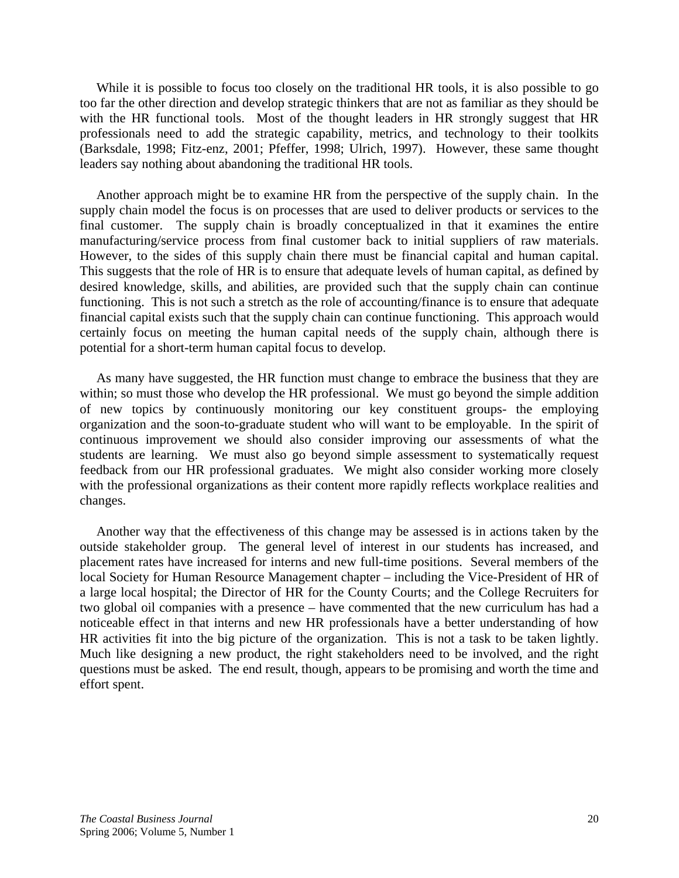While it is possible to focus too closely on the traditional HR tools, it is also possible to go too far the other direction and develop strategic thinkers that are not as familiar as they should be with the HR functional tools. Most of the thought leaders in HR strongly suggest that HR professionals need to add the strategic capability, metrics, and technology to their toolkits (Barksdale, 1998; Fitz-enz, 2001; Pfeffer, 1998; Ulrich, 1997). However, these same thought leaders say nothing about abandoning the traditional HR tools.

 Another approach might be to examine HR from the perspective of the supply chain. In the supply chain model the focus is on processes that are used to deliver products or services to the final customer. The supply chain is broadly conceptualized in that it examines the entire manufacturing/service process from final customer back to initial suppliers of raw materials. However, to the sides of this supply chain there must be financial capital and human capital. This suggests that the role of HR is to ensure that adequate levels of human capital, as defined by desired knowledge, skills, and abilities, are provided such that the supply chain can continue functioning. This is not such a stretch as the role of accounting/finance is to ensure that adequate financial capital exists such that the supply chain can continue functioning. This approach would certainly focus on meeting the human capital needs of the supply chain, although there is potential for a short-term human capital focus to develop.

 As many have suggested, the HR function must change to embrace the business that they are within; so must those who develop the HR professional. We must go beyond the simple addition of new topics by continuously monitoring our key constituent groups- the employing organization and the soon-to-graduate student who will want to be employable. In the spirit of continuous improvement we should also consider improving our assessments of what the students are learning. We must also go beyond simple assessment to systematically request feedback from our HR professional graduates. We might also consider working more closely with the professional organizations as their content more rapidly reflects workplace realities and changes.

 Another way that the effectiveness of this change may be assessed is in actions taken by the outside stakeholder group. The general level of interest in our students has increased, and placement rates have increased for interns and new full-time positions. Several members of the local Society for Human Resource Management chapter – including the Vice-President of HR of a large local hospital; the Director of HR for the County Courts; and the College Recruiters for two global oil companies with a presence – have commented that the new curriculum has had a noticeable effect in that interns and new HR professionals have a better understanding of how HR activities fit into the big picture of the organization. This is not a task to be taken lightly. Much like designing a new product, the right stakeholders need to be involved, and the right questions must be asked. The end result, though, appears to be promising and worth the time and effort spent.